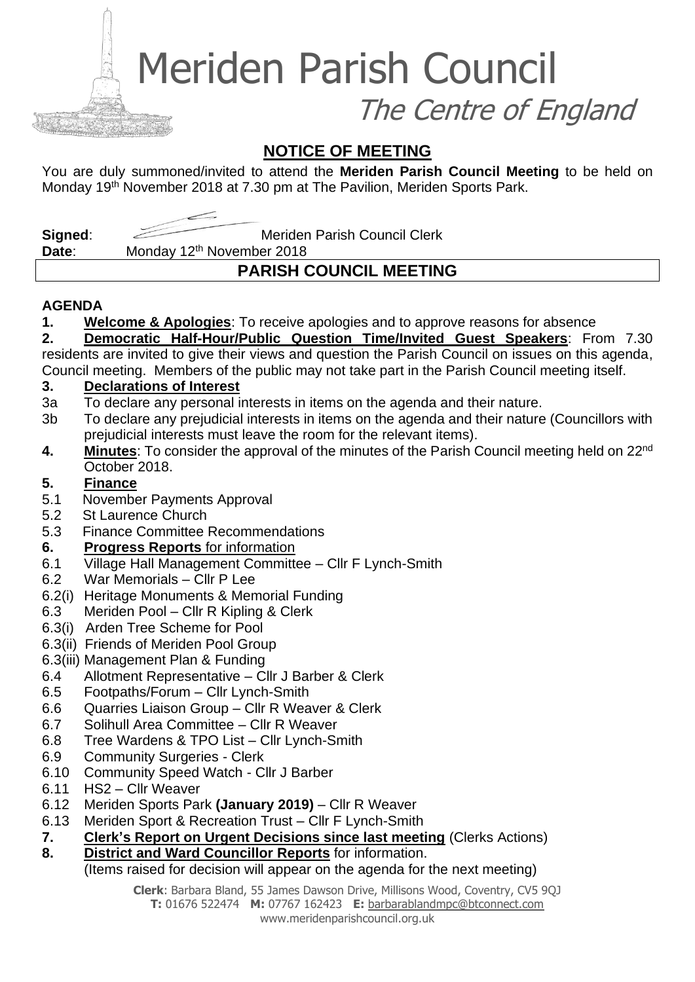Meriden Parish Council

The Centre of England

# **NOTICE OF MEETING**

You are duly summoned/invited to attend the **Meriden Parish Council Meeting** to be held on Monday 19<sup>th</sup> November 2018 at 7.30 pm at The Pavilion, Meriden Sports Park.

**Signed:** Meriden Parish Council Clerk

Date: Monday 12<sup>th</sup> November 2018

# **PARISH COUNCIL MEETING**

## **AGENDA**

**1. Welcome & Apologies**: To receive apologies and to approve reasons for absence

**2. Democratic Half-Hour/Public Question Time/Invited Guest Speakers**: From 7.30 residents are invited to give their views and question the Parish Council on issues on this agenda, Council meeting. Members of the public may not take part in the Parish Council meeting itself.

### **3. Declarations of Interest**

- 3a To declare any personal interests in items on the agenda and their nature.
- 3b To declare any prejudicial interests in items on the agenda and their nature (Councillors with prejudicial interests must leave the room for the relevant items).
- 4. Minutes: To consider the approval of the minutes of the Parish Council meeting held on 22<sup>nd</sup> October 2018.

### **5. Finance**

- 5.1 November Payments Approval
- 5.2 St Laurence Church
- 5.3 Finance Committee Recommendations

## **6. Progress Reports** for information

- 6.1 Village Hall Management Committee Cllr F Lynch-Smith
- 6.2 War Memorials Cllr P Lee
- 6.2(i) Heritage Monuments & Memorial Funding
- 6.3 Meriden Pool Cllr R Kipling & Clerk
- 6.3(i) Arden Tree Scheme for Pool
- 6.3(ii) Friends of Meriden Pool Group
- 6.3(iii) Management Plan & Funding
- 6.4 Allotment Representative Cllr J Barber & Clerk
- 6.5 Footpaths/Forum Cllr Lynch-Smith
- 6.6 Quarries Liaison Group Cllr R Weaver & Clerk
- 6.7 Solihull Area Committee Cllr R Weaver
- 6.8 Tree Wardens & TPO List Cllr Lynch-Smith
- 6.9 Community Surgeries Clerk
- 6.10 Community Speed Watch Cllr J Barber
- 6.11 HS2 Cllr Weaver
- 6.12 Meriden Sports Park **(January 2019)** Cllr R Weaver
- 6.13 Meriden Sport & Recreation Trust Cllr F Lynch-Smith
- **7. Clerk's Report on Urgent Decisions since last meeting** (Clerks Actions)
- **8. District and Ward Councillor Reports** for information.

### (Items raised for decision will appear on the agenda for the next meeting)

**Clerk**: Barbara Bland, 55 James Dawson Drive, Millisons Wood, Coventry, CV5 9QJ **T:** 01676 522474 **M:** 07767 162423 **E:** [barbarablandmpc@btconnect.com](mailto:barbarablandmpc@btconnect.com) www.meridenparishcouncil.org.uk